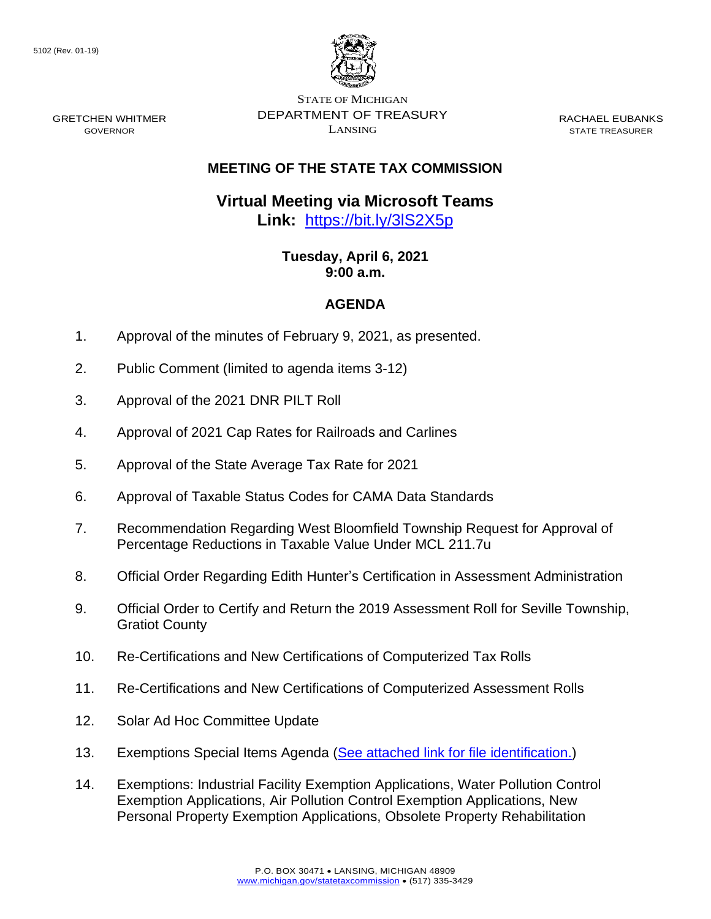GRETCHEN WHITMER GOVERNOR



STATE OF MICHIGAN DEPARTMENT OF TREASURY LANSING

RACHAEL EUBANKS STATE TREASURER

## **MEETING OF THE STATE TAX COMMISSION**

## **Virtual Meeting via Microsoft Teams Link:** [https://bit.ly/3lS2X5p](https://gcc02.safelinks.protection.outlook.com/?url=https%3A%2F%2Fbit.ly%2F3lS2X5p&data=04%7C01%7CDensteadtL%40michigan.gov%7C6e0940de0ab94476758c08d8f0812a2e%7Cd5fb7087377742ad966a892ef47225d1%7C0%7C0%7C637523784827993001%7CUnknown%7CTWFpbGZsb3d8eyJWIjoiMC4wLjAwMDAiLCJQIjoiV2luMzIiLCJBTiI6Ik1haWwiLCJXVCI6Mn0%3D%7C1000&sdata=X%2BEvhNa2CvFDlzJHstyZ1rlWVmxvZvTRkyh5MsYM4h0%3D&reserved=0)

## **Tuesday, April 6, 2021 9:00 a.m.**

## **AGENDA**

- 1. Approval of the minutes of February 9, 2021, as presented.
- 2. Public Comment (limited to agenda items 3-12)
- 3. Approval of the 2021 DNR PILT Roll
- 4. Approval of 2021 Cap Rates for Railroads and Carlines
- 5. Approval of the State Average Tax Rate for 2021
- 6. Approval of Taxable Status Codes for CAMA Data Standards
- 7. Recommendation Regarding West Bloomfield Township Request for Approval of Percentage Reductions in Taxable Value Under MCL 211.7u
- 8. Official Order Regarding Edith Hunter's Certification in Assessment Administration
- 9. Official Order to Certify and Return the 2019 Assessment Roll for Seville Township, Gratiot County
- 10. Re-Certifications and New Certifications of Computerized Tax Rolls
- 11. Re-Certifications and New Certifications of Computerized Assessment Rolls
- 12. Solar Ad Hoc Committee Update
- 13. Exemptions Special Items Agenda [\(See attached link for file identification.\)](https://www.michigan.gov/documents/treasury/13_Exemptions_Special_Items_Agenda_720814_7.pdf)
- 14. Exemptions: Industrial Facility Exemption Applications, Water Pollution Control Exemption Applications, Air Pollution Control Exemption Applications, New Personal Property Exemption Applications, Obsolete Property Rehabilitation